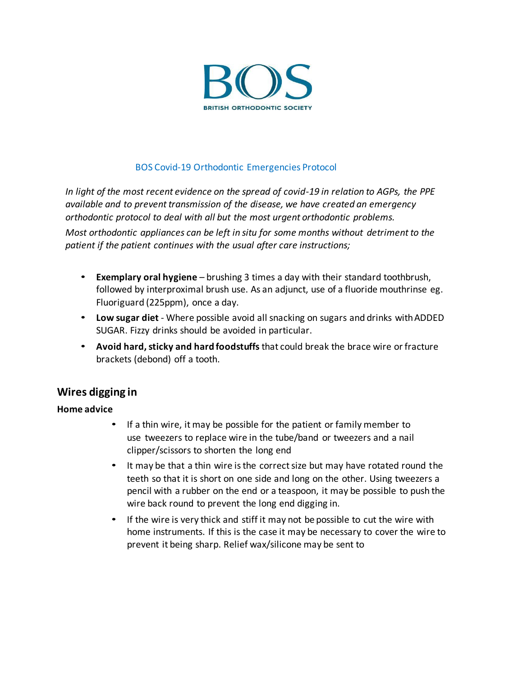

#### BOS Covid-19 Orthodontic Emergencies Protocol

*In light of the most recent evidence on the spread of covid-19 in relation to AGPs, the PPE available and to prevent transmission of the disease, we have created an emergency orthodontic protocol to deal with all but the most urgent orthodontic problems.*

*Most orthodontic appliances can be left in situ for some months without detriment to the patient if the patient continues with the usual after care instructions;*

- **Exemplary oral hygiene**  brushing 3 times a day with their standard toothbrush, followed by interproximal brush use. As an adjunct, use of a fluoride mouthrinse eg. Fluoriguard (225ppm), once a day.
- **Low sugar diet** Where possible avoid all snacking on sugars and drinks withADDED SUGAR. Fizzy drinks should be avoided in particular.
- **Avoid hard, sticky and hard foodstuffs** that could break the brace wire or fracture brackets (debond) off a tooth.

### **Wires digging in**

#### **Home advice**

- If a thin wire, it may be possible for the patient or family member to use tweezers to replace wire in the tube/band or tweezers and a nail clipper/scissors to shorten the long end
- It may be that a thin wire is the correct size but may have rotated round the teeth so that it is short on one side and long on the other. Using tweezers a pencil with a rubber on the end or a teaspoon, it may be possible to push the wire back round to prevent the long end digging in.
- If the wire is very thick and stiff it may not be possible to cut the wire with home instruments. If this is the case it may be necessary to cover the wire to prevent it being sharp. Relief wax/silicone may be sent to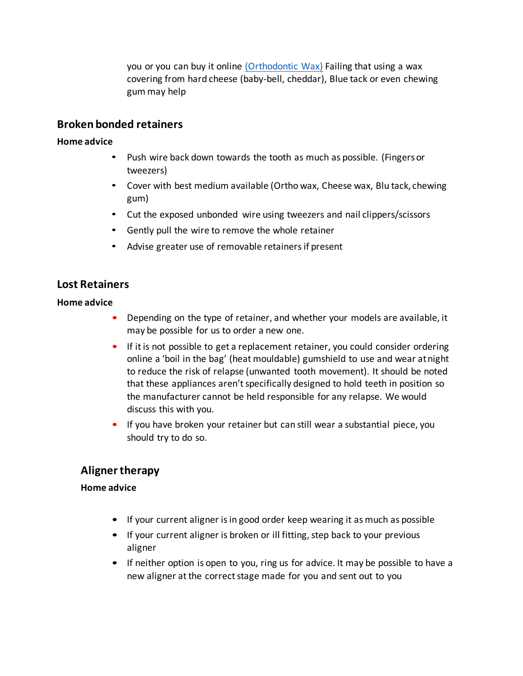you or you can buy it online [\(Orthodontic Wax\)](https://www.amazon.co.uk/Orthodontic-Dental-Brace-Relief-Ortho/dp/B00IEERWNW/ref%3Dsr_1_11?dchild=1&keywords=orthodontic%2Bsilicone&qid=1585067676&sr=8-11) Failing that using a wax covering from hard cheese (baby-bell, cheddar), Blue tack or even chewing gum may help

## **Broken bonded retainers**

### **Home advice**

- Push wire back down towards the tooth as much as possible. (Fingersor tweezers)
- Cover with best medium available (Ortho wax, Cheese wax, Blu tack, chewing gum)
- Cut the exposed unbonded wire using tweezers and nail clippers/scissors
- Gently pull the wire to remove the whole retainer
- Advise greater use of removable retainers if present

# **Lost Retainers**

### **Home advice**

- Depending on the type of retainer, and whether your models are available, it may be possible for us to order a new one.
- If it is not possible to get a replacement retainer, you could consider ordering online a 'boil in the bag' (heat mouldable) gumshield to use and wear atnight to reduce the risk of relapse (unwanted tooth movement). It should be noted that these appliances aren't specifically designed to hold teeth in position so the manufacturer cannot be held responsible for any relapse. We would discuss this with you.
- If you have broken your retainer but can still wear a substantial piece, you should try to do so.

# **Aligner therapy**

### **Home advice**

- If your current aligner is in good order keep wearing it as much as possible
- If your current aligner is broken or ill fitting, step back to your previous aligner
- If neither option is open to you, ring us for advice. It may be possible to have a new aligner at the correct stage made for you and sent out to you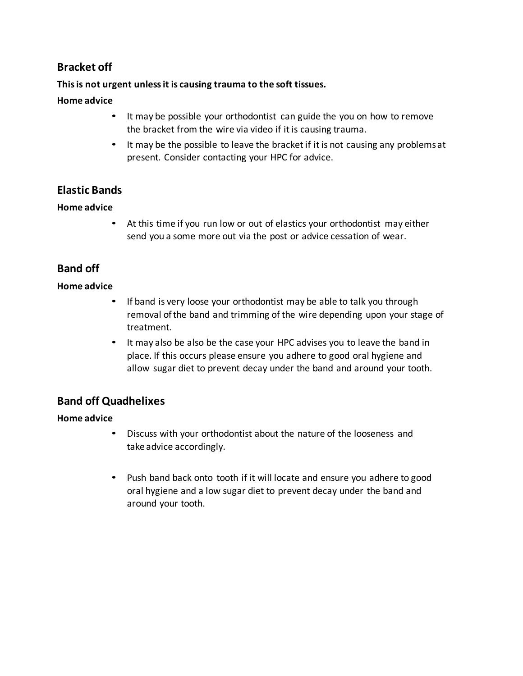# **Bracket off**

## **This is not urgent unless it is causing trauma to the soft tissues.**

## **Home advice**

- It may be possible your orthodontist can guide the you on how to remove the bracket from the wire via video if it is causing trauma.
- It may be the possible to leave the bracket if it is not causing any problems at present. Consider contacting your HPC for advice.

# **Elastic Bands**

## **Home advice**

• At this time if you run low or out of elastics your orthodontist may either send you a some more out via the post or advice cessation of wear.

# **Band off**

## **Home advice**

- If band is very loose your orthodontist may be able to talk you through removal of the band and trimming of the wire depending upon your stage of treatment.
- It may also be also be the case your HPC advises you to leave the band in place. If this occurs please ensure you adhere to good oral hygiene and allow sugar diet to prevent decay under the band and around your tooth.

# **Band off Quadhelixes**

## **Home advice**

- Discuss with your orthodontist about the nature of the looseness and take advice accordingly.
- Push band back onto tooth if it will locate and ensure you adhere to good oral hygiene and a low sugar diet to prevent decay under the band and around your tooth.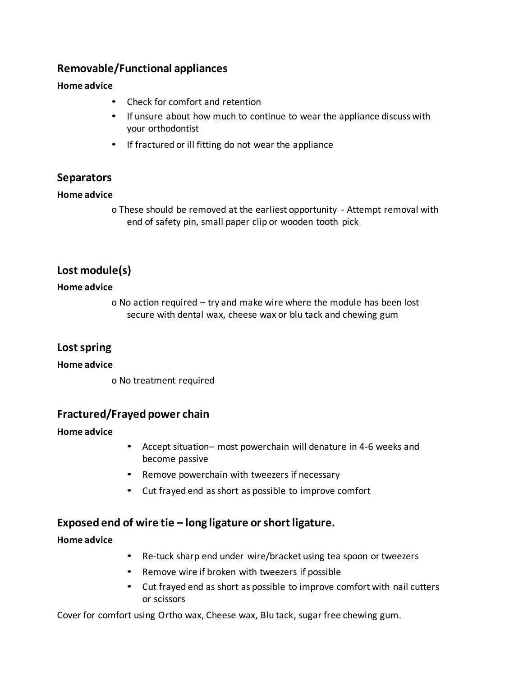# **Removable/Functional appliances**

#### **Home advice**

- Check for comfort and retention
- If unsure about how much to continue to wear the appliance discuss with your orthodontist
- If fractured or ill fitting do not wear the appliance

## **Separators**

### **Home advice**

o These should be removed at the earliest opportunity - Attempt removal with end of safety pin, small paper clip or wooden tooth pick

# **Lost module(s)**

#### **Home advice**

o No action required – try and make wire where the module has been lost secure with dental wax, cheese wax or blu tack and chewing gum

## **Lost spring**

#### **Home advice**

o No treatment required

## **Fractured/Frayed power chain**

### **Home advice**

- Accept situation– most powerchain will denature in 4-6 weeks and become passive
- Remove powerchain with tweezers if necessary
- Cut frayed end as short as possible to improve comfort

## **Exposed end of wire tie – long ligature or short ligature.**

### **Home advice**

- Re-tuck sharp end under wire/bracket using tea spoon or tweezers
- Remove wire if broken with tweezers if possible
- Cut frayed end as short as possible to improve comfort with nail cutters or scissors

Cover for comfort using Ortho wax, Cheese wax, Blu tack, sugar free chewing gum.